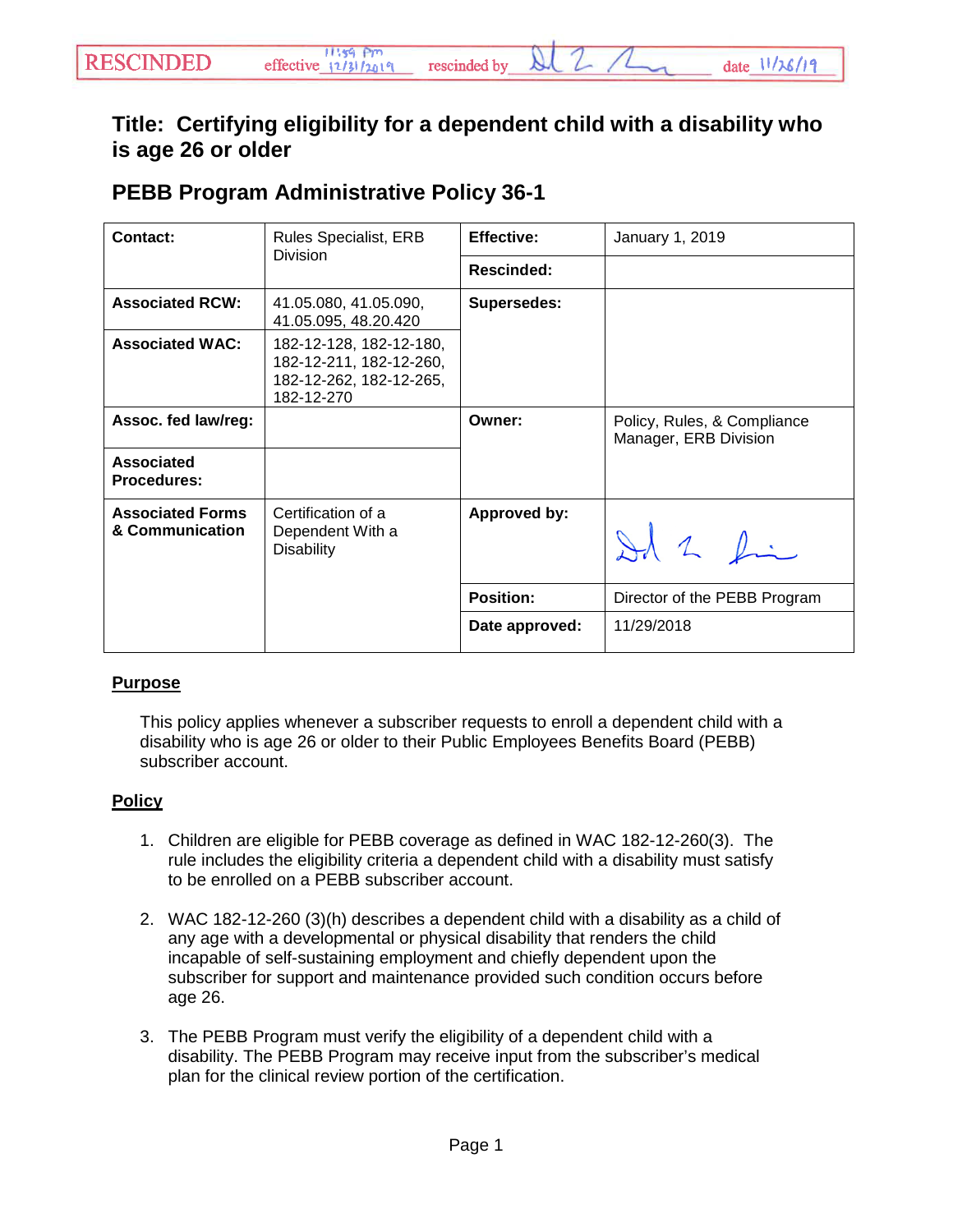## **Title: Certifying eligibility for a dependent child with a disability who is age 26 or older**

## **PEBB Program Administrative Policy 36-1**

| Contact:                                   | <b>Rules Specialist, ERB</b><br><b>Division</b>                                             | <b>Effective:</b>   | January 1, 2019                                      |
|--------------------------------------------|---------------------------------------------------------------------------------------------|---------------------|------------------------------------------------------|
|                                            |                                                                                             | <b>Rescinded:</b>   |                                                      |
| <b>Associated RCW:</b>                     | 41.05.080, 41.05.090,<br>41.05.095, 48.20.420                                               | <b>Supersedes:</b>  |                                                      |
| <b>Associated WAC:</b>                     | 182-12-128, 182-12-180,<br>182-12-211, 182-12-260,<br>182-12-262, 182-12-265,<br>182-12-270 |                     |                                                      |
| Assoc. fed law/reg:                        |                                                                                             | Owner:              | Policy, Rules, & Compliance<br>Manager, ERB Division |
| <b>Associated</b><br><b>Procedures:</b>    |                                                                                             |                     |                                                      |
| <b>Associated Forms</b><br>& Communication | Certification of a<br>Dependent With a<br><b>Disability</b>                                 | <b>Approved by:</b> | Id 2 Li                                              |
|                                            |                                                                                             | <b>Position:</b>    | Director of the PEBB Program                         |
|                                            |                                                                                             | Date approved:      | 11/29/2018                                           |

## **Purpose**

This policy applies whenever a subscriber requests to enroll a dependent child with a disability who is age 26 or older to their Public Employees Benefits Board (PEBB) subscriber account.

## **Policy**

- 1. Children are eligible for PEBB coverage as defined in WAC 182-12-260(3). The rule includes the eligibility criteria a dependent child with a disability must satisfy to be enrolled on a PEBB subscriber account.
- 2. WAC 182-12-260 (3)(h) describes a dependent child with a disability as a child of any age with a developmental or physical disability that renders the child incapable of self-sustaining employment and chiefly dependent upon the subscriber for support and maintenance provided such condition occurs before age 26.
- 3. The PEBB Program must verify the eligibility of a dependent child with a disability. The PEBB Program may receive input from the subscriber's medical plan for the clinical review portion of the certification.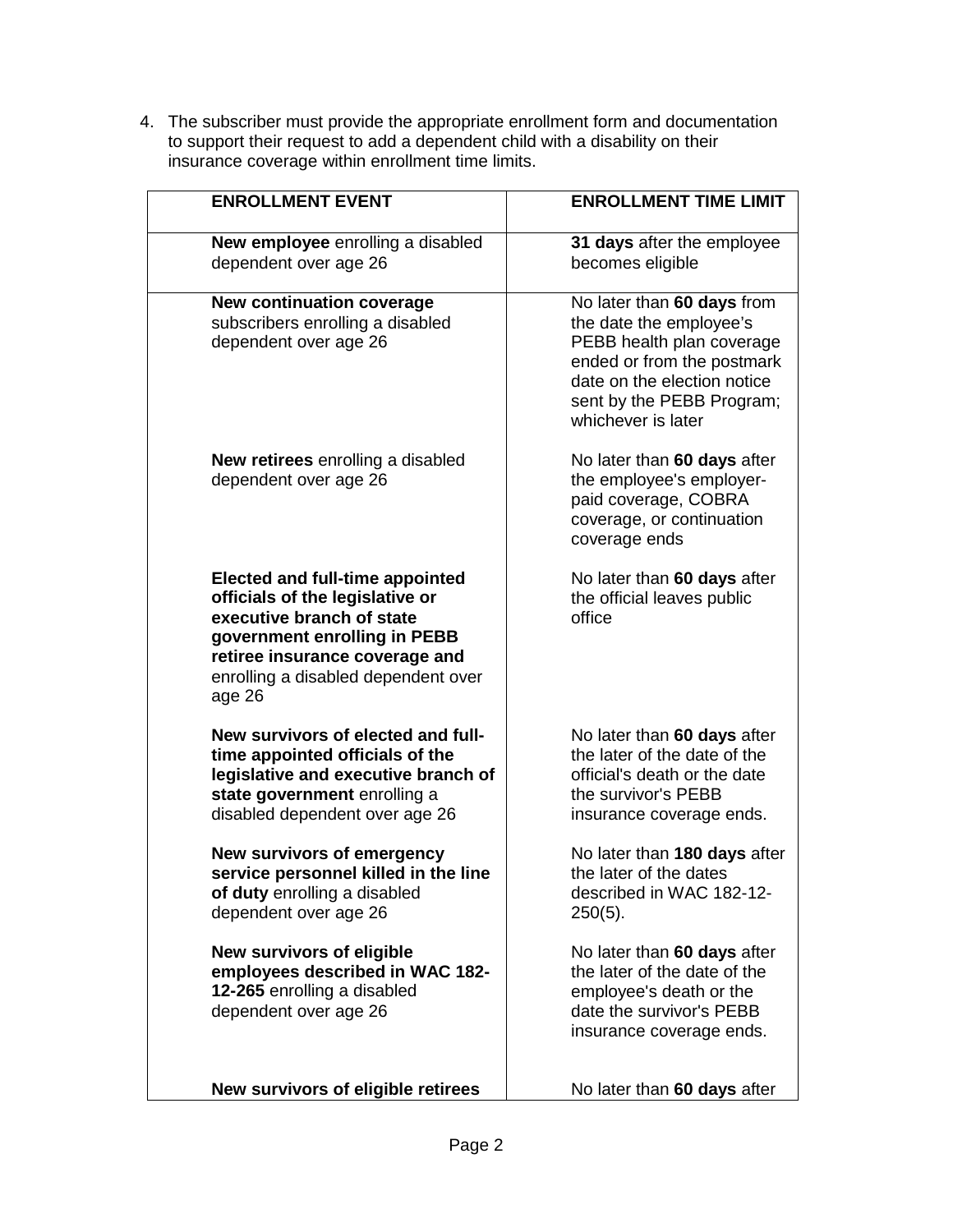4. The subscriber must provide the appropriate enrollment form and documentation to support their request to add a dependent child with a disability on their insurance coverage within enrollment time limits.

| <b>ENROLLMENT EVENT</b>                                                                                                                                                                                                   | <b>ENROLLMENT TIME LIMIT</b>                                                                                                                                                                       |
|---------------------------------------------------------------------------------------------------------------------------------------------------------------------------------------------------------------------------|----------------------------------------------------------------------------------------------------------------------------------------------------------------------------------------------------|
| New employee enrolling a disabled<br>dependent over age 26                                                                                                                                                                | 31 days after the employee<br>becomes eligible                                                                                                                                                     |
| <b>New continuation coverage</b><br>subscribers enrolling a disabled<br>dependent over age 26                                                                                                                             | No later than 60 days from<br>the date the employee's<br>PEBB health plan coverage<br>ended or from the postmark<br>date on the election notice<br>sent by the PEBB Program;<br>whichever is later |
| <b>New retirees</b> enrolling a disabled<br>dependent over age 26                                                                                                                                                         | No later than 60 days after<br>the employee's employer-<br>paid coverage, COBRA<br>coverage, or continuation<br>coverage ends                                                                      |
| <b>Elected and full-time appointed</b><br>officials of the legislative or<br>executive branch of state<br>government enrolling in PEBB<br>retiree insurance coverage and<br>enrolling a disabled dependent over<br>age 26 | No later than 60 days after<br>the official leaves public<br>office                                                                                                                                |
| New survivors of elected and full-<br>time appointed officials of the<br>legislative and executive branch of<br>state government enrolling a<br>disabled dependent over age 26                                            | No later than 60 days after<br>the later of the date of the<br>official's death or the date<br>the survivor's PEBB<br>insurance coverage ends.                                                     |
| <b>New survivors of emergency</b><br>service personnel killed in the line<br>of duty enrolling a disabled<br>dependent over age 26                                                                                        | No later than 180 days after<br>the later of the dates<br>described in WAC 182-12-<br>$250(5)$ .                                                                                                   |
| <b>New survivors of eligible</b><br>employees described in WAC 182-<br>12-265 enrolling a disabled<br>dependent over age 26                                                                                               | No later than 60 days after<br>the later of the date of the<br>employee's death or the<br>date the survivor's PEBB<br>insurance coverage ends.                                                     |
| New survivors of eligible retirees                                                                                                                                                                                        | No later than 60 days after                                                                                                                                                                        |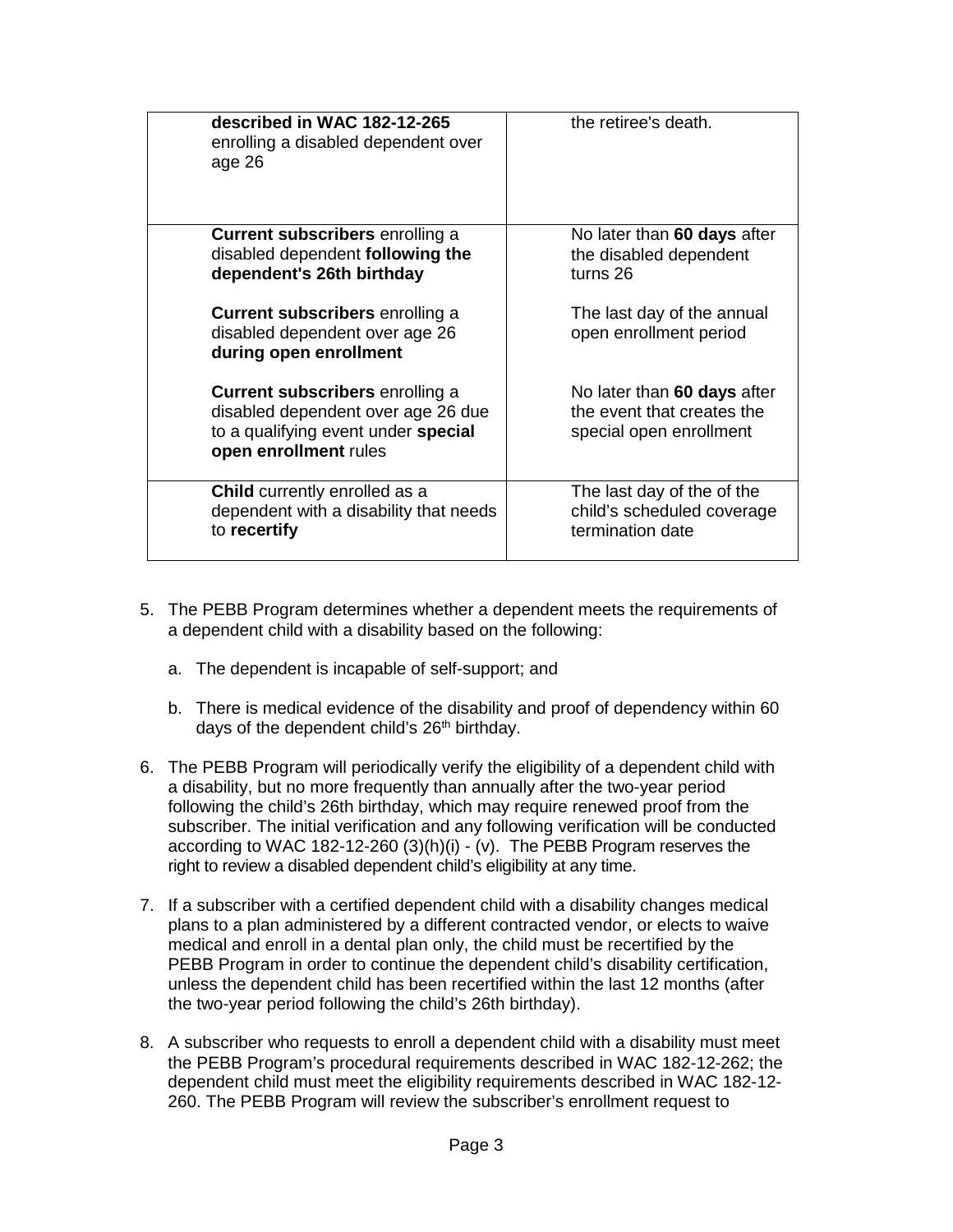| described in WAC 182-12-265<br>enrolling a disabled dependent over<br>age 26                                                                 | the retiree's death.                                                                 |
|----------------------------------------------------------------------------------------------------------------------------------------------|--------------------------------------------------------------------------------------|
| <b>Current subscribers</b> enrolling a<br>disabled dependent following the<br>dependent's 26th birthday                                      | No later than 60 days after<br>the disabled dependent<br>turns 26                    |
| <b>Current subscribers</b> enrolling a<br>disabled dependent over age 26<br>during open enrollment                                           | The last day of the annual<br>open enrollment period                                 |
| <b>Current subscribers</b> enrolling a<br>disabled dependent over age 26 due<br>to a qualifying event under special<br>open enrollment rules | No later than 60 days after<br>the event that creates the<br>special open enrollment |
| <b>Child</b> currently enrolled as a<br>dependent with a disability that needs<br>to recertify                                               | The last day of the of the<br>child's scheduled coverage<br>termination date         |

- 5. The PEBB Program determines whether a dependent meets the requirements of a dependent child with a disability based on the following:
	- a. The dependent is incapable of self-support; and
	- b. There is medical evidence of the disability and proof of dependency within 60 days of the dependent child's 26<sup>th</sup> birthday.
- 6. The PEBB Program will periodically verify the eligibility of a dependent child with a disability, but no more frequently than annually after the two-year period following the child's 26th birthday, which may require renewed proof from the subscriber. The initial verification and any following verification will be conducted according to WAC 182-12-260 (3)(h)(i) - (v). The PEBB Program reserves the right to review a disabled dependent child's eligibility at any time.
- 7. If a subscriber with a certified dependent child with a disability changes medical plans to a plan administered by a different contracted vendor, or elects to waive medical and enroll in a dental plan only, the child must be recertified by the PEBB Program in order to continue the dependent child's disability certification, unless the dependent child has been recertified within the last 12 months (after the two-year period following the child's 26th birthday).
- 8. A subscriber who requests to enroll a dependent child with a disability must meet the PEBB Program's procedural requirements described in WAC 182-12-262; the dependent child must meet the eligibility requirements described in WAC 182-12- 260. The PEBB Program will review the subscriber's enrollment request to